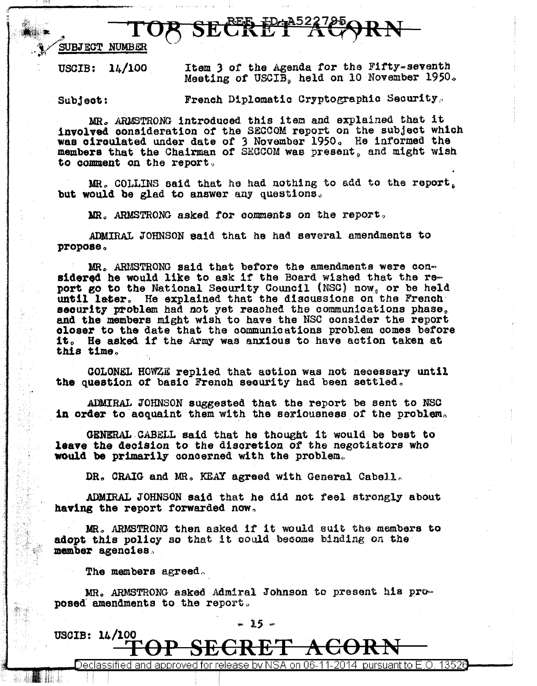$TOR$  SECRET  $TARP+RN$ <br>SUBJECT NUMBER (SUBJECT NUMBER ) of the Agenda for the Fifty-seventh

USCIB: 14/100

Meeting of USCIB, held on 10 November 1950.

Subject:

French Diplomatic Cryptographic Security,

MR., ARMSTRONG introduced this item and explained that it involved consideration of the SECOOM report on the subject which was circulated under date of 3 November 1950. He informed the members that the Chairman of SECCOM was present, and might wish to comment on the report.

 $MR<sub>s</sub>$  COLLINS said that he had nothing to add to the report. but would be glad to answer any questions.

MR. ARMSTRONG asked for comments on the report.

.ADMIRAL JOHNSON said that he had several amendments to propose.,

 $MR<sub>c</sub>$  ARMSTRONG said that before the amendments were considered he would like to ask if the Board wished that the report go to the National Security Council (NSC) now, or be held until later. He explained that the discussions on the French seourity problem had not yet reached the communications phase, and the members might wish to have the NSC consider the report closer to the date that the communications problem comes before it. He asked if the Army was anxious to have action taken at this time.,

COLONRL HOWZE replied that aotion was not necessary until the question of basic French security had been settled.

ADMIRAL JOHNSON suggested that the report be sent to NSC in order to acquaint them with the seriousness of the problem.

GENERAL.CABELL said that he thought it would be best to leave the decision to the discretion of the negotiators who would be primarily oonoerned with the problem,.

DR. CRAIG and MR. KEAY agreed with General Cabell.

ADMIRAL JOHNSON said that he did not feel strongly about having the report forwarded now.

MR. ARMSTRONG then asked if it would suit the members to adopt this policy so that it could become binding on the member agencies.

The members agreed.

 $\mathbf{I}$   $\mathbf{I}$ 

 $\frac{1}{2}$ 

MR. ARMSTRONG asked Admiral Johnson to present his proposed amendments to the report.

 $\text{USGIB: } 1/\frac{100}{100}$   $\frac{25}{100}$ 

TOP SECRET ACORN Declassified and approved for release by NSA on 06-11-2014  $\,$  pursuant to E.O. 13526  $\,$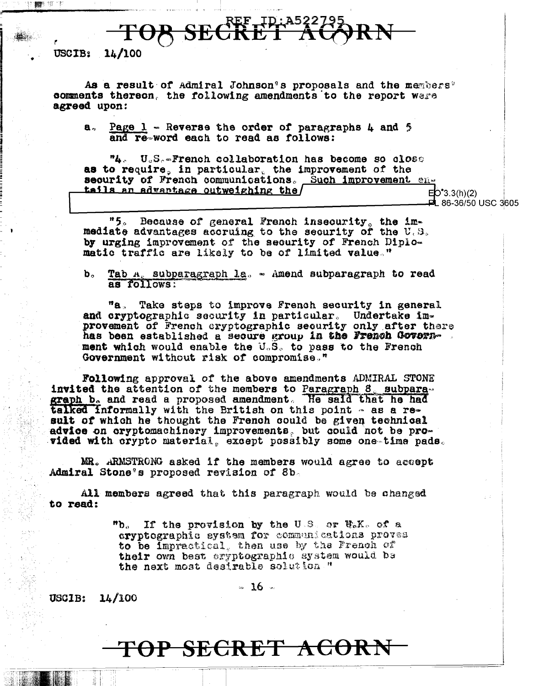OR SECRET AC

#### USCIB:  $14/100$

■ 切り

As a result of Admiral Johnson's proposals and the members' comments thereon, the following amendments to the report were agreed upon:

Page  $1$  - Reverse the order of paragraphs  $\mu$  and 5 **a**, and re-word each to read as follows:

"4. U.S.-French collaboration has become so close as to require, in particular, the improvement of the security of French communications. Such improvement entails an advantage outweighing the/  $ED^{\bullet}3.3(h)(2)$ 

**PL 86-36/50 USC 3605** 

 $"5"$ Because of general French insecurity, the immediate advantages accruing to the security of the U.S. by urging improvement of the security of French Diplomatic traffic are likely to be of limited value."

Tab A, subparagraph la. - Amend subparagraph to read **b**. as follows:

 $n_{\mathbf{A}}$ Take steps to improve French security in general and cryptographic security in particular. Undertake im-<br>provement of French cryptographic security only after there has been established a secure group in the French Government which would enable the U.S. to pass to the French Government without risk of compromise."

Following approval of the above amendments ADMIRAL STONE invited the attention of the members to Paragraph 8, subparagraph b. and read a proposed amendment. He said that he had talked informally with the British on this point - as a result of which he thought the French could be given technical advice on cryptomachinery improvements, but could not be provided with crypto material, except possibly some one-time pads.

MR. ARMSTRONG asked if the members would agree to accept Admiral Stone's proposed revision of 8b.

All members agreed that this paragraph would be changed to read:

> "b. \_ If the provision by the U.S. or U.K. of a crvptographic system for communications proves to be impractical, then use by the French of their own best cryptographic system would be the next most desirable solution "

> > $\approx$  16  $\approx$

 $14/100$ **USCIB:** 

## <del>TOP SECRET ACORN</del>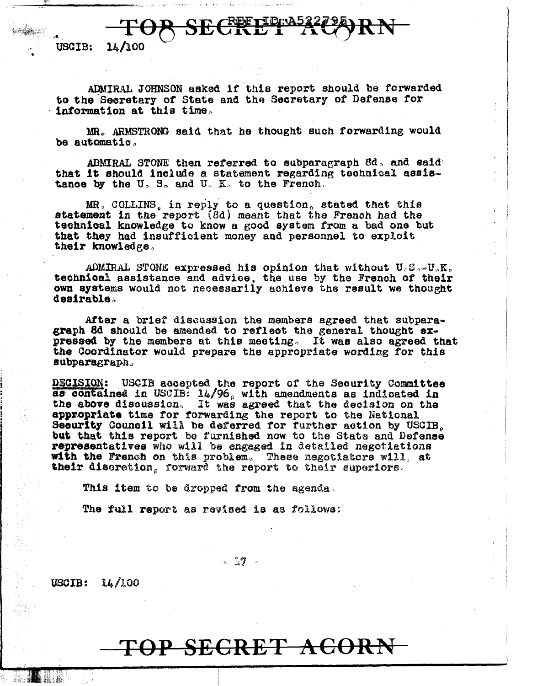OR SECRE

USCIB: 14/100

•

ADMIRAL JOHNSON asked 1r this report should be forwarded to the Seoretary or State and tha Secretary of Defense *tor* · information at this time,,

MR. ARMSTRONG said that he thought such forwarding would be automatic.

ADMIRAL STONE then referred to subparagraph  $8d<sub>o</sub>$  and said that it should include a statement regarding technical assistance by the U.S. and U.K. to the French.

MR. COLLINS, in reply to a question, stated that this statement in the report (8d) meant that the French had the teohn1oal knowledge to know a good system from a bad one but that they had insufficient money and personnel to exploit their knowledge.

ADMIRAL STONE expressed his opinion that without  $U_cS_{\alpha}U_{\alpha}K_o$ teehnioal assistance and advioe, the use by the Franch of their own systems would not necessarily achieve the result we thought desirable,

After a brief discussion the members agreed that subparagraph 8d should be amended to reflect tha general thought expressed by the members at this meeting. It was also agreed that the Coordinator would prepare the appropriate wording for this subparagraph.

DECISION: USCIB accepted the report of the Security Committee as contained in USCIB:  $14/96$ , with amendments as indicated in the above discussion. It was agreed that the decision on the appropriate time for forwarding the report to the National Security Council will be deferred for further action by USCIB, but that this report be furnished now to the State and Defense representatives who will be engaged in detailed negotiations will. at their discretion. forward the report to their euperiors.

This item to be dropped from the agenda.

The full report as revised is as follows:

 $-17$ 

USCIB: 14/100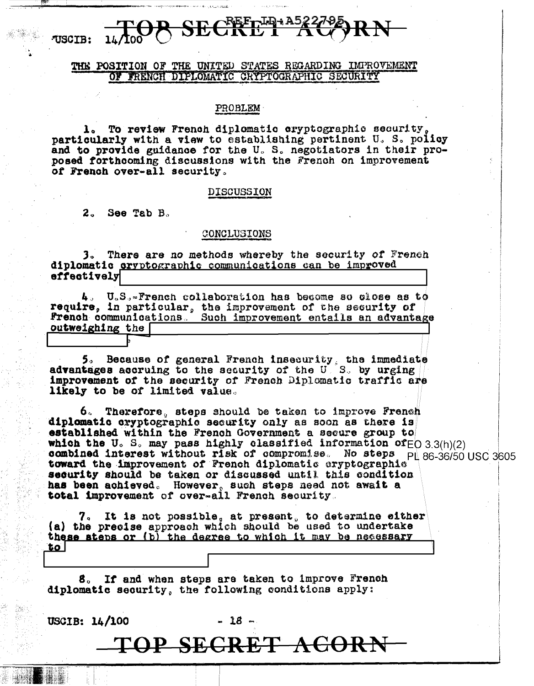### THE POSITION OF THE UNITED STATES REGARDING IMPROVEMENT OF FRENCH DIPLOMATIC CRYPTOGRAPHIC SECURITY

#### PROBLEM

1. To review French diplomatic cryptographic security particularly with a view to establishing pertinent U.S. policy and to provide guidance for the U.S. negotiators in their proposed forthcoming discussions with the French on improvement of French over-all security.

#### **DISCUSSION**

 $2<sub>a</sub>$ See Tab B.

USCIB:

### CONCLUSIONS

3. There are no methods whereby the security of French diplomatic cryptographic communications can be improved effectively

4. U.S.-French collaboration has become so close as to require, in particular, the improvement of the security of **french communications.** Such improvement entails an advantage outweighing the

5. Because of general French insecurity, the immediate advantages accruing to the security of the U.S. by urging improvement of the security of French Diplomatic traffic are likely to be of limited value.

6. Therefore, steps should be taken to improve French diplomatic cryptographic security only as soon as there is established within the French Government a secure group to which the U.S. may pass highly classified information of  $E$ O 3.3(h)(2)<br>combined interest without risk of compromise. No steps pl 86-36/50 USC 3605<br>toward the improvement of French diplomatic cryptographic security should be taken or discussed until this condition has been achieved. However, such steps need not await a total improvement of over-all French security.

7. It is not possible, at present, to determine either (a) the precise approach which should be used to undertake these steps or (b) the degree to which it may be necessary  $to$ 

8. If and when steps are taken to improve French diplomatic security, the following conditions apply:

USCIB: 14/100

- 18 -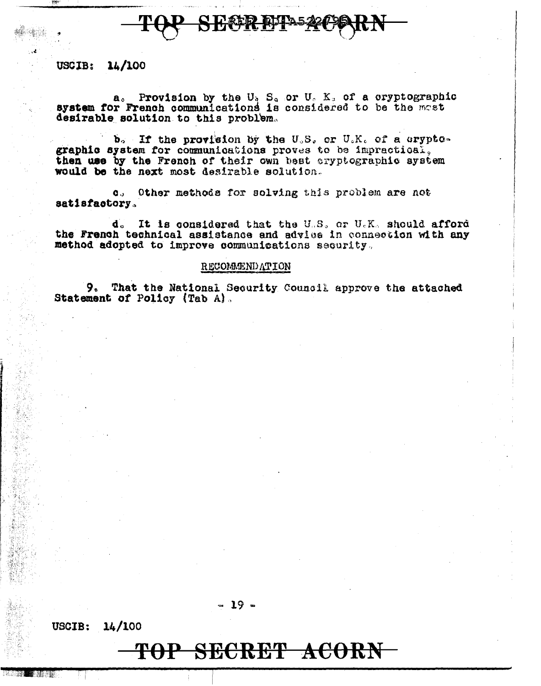分移率 的

### USCIB:  $14/100$

a. Provision by the  $U_5$  S<sub>a</sub> or  $U_6$  K<sub>s</sub> of a oryptographic system for French communications is considered to be the mast desirable solution to this problem.

b. If the provision by the U.S. or U.K. of a cryptographic system for communications proves to be impractical. then use by the French of their own best cryptographic system would be the next most desirable solution.

c. Other methods for solving this problem are not satisfactory.

It is considered that the U.S. or U.K. should afford d. the French technical assistance and advice in connection with any method adopted to improve communications security.

#### RECOMMENDATION

9. That the National Security Council approve the attached Statement of Policy (Tab A).

### $-19-$

14/100 USCIB: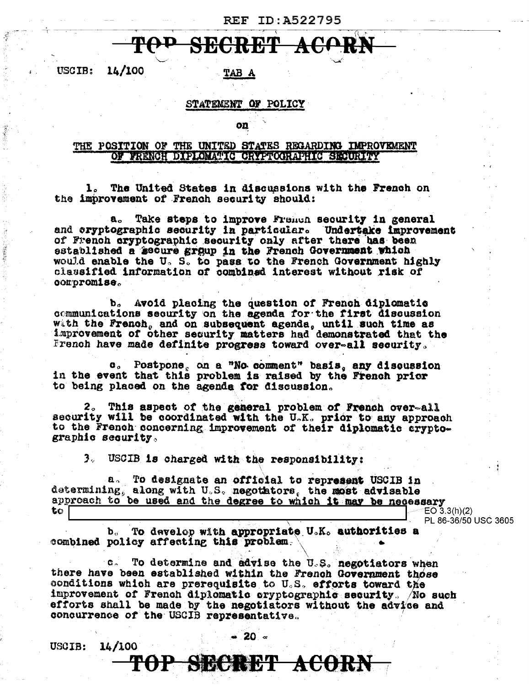### ACORN CRET

14/100 **USCIB:** 

TAB A

### STATEMENT OF POLICY

on

### THE POSITION OF THE UNITED STATES REGARDING IMPROVEMENT OF FRENCH DIPLOMATIC CRYPTOGRAPHIC SECURITY

The United States in discussions with the French on  $\mathbf{1}_{\alpha}$ the improvement of French security should:

Take steps to improve French security in general  $a<sub>o</sub>$ and eryptographic security in particular. Undertake improvement of French cryptographic security only after there has been established a secure group in the French Government which would enable the U.S. to pass to the French Government highly classified information of combined interest without risk of compromise.

Avoid placing the question of French diplomatic b. communications security on the agenda for the first discussion with the French, and on subsequent agenda, until such time as improvement of other security matters had demonstrated that the French have made definite progress toward over-all security.

Postpone, on a "No comment" basis, any discussion  $\mathbf{c}_{\alpha}$ in the event that this problem is raised by the French prior to being placed on the agenda for discussion.

2. This aspect of the general problem of French over-all security will be coordinated with the U.K. prior to any approach to the French concerning improvement of their diplomatic cryptographic security.

3. USCIB is charged with the responsibility:

To designate an official to represent USCIB in  $\mathbf{a}$ . determining, along with U.S. negotators, the most advisable approach to be used and the degree to which it may be necessary  $EO\ 3.3(h)(2)$ to

PL 86-36/50 USC 3605

To develop with appropriate U.K. authorities a b., combined policy affecting this problem.

To determine and advise the U.S. negotiators when  $\mathbf{c}$   $\sim$ there have been established within the French Government those conditions which are prerequisite to U.S. efforts toward the improvement of French diplomatic cryptographic security. Ao such efforts shall be made by the negotiators without the advice and concurrence of the USCIB representative.

USCIB: 14/100 20 ∝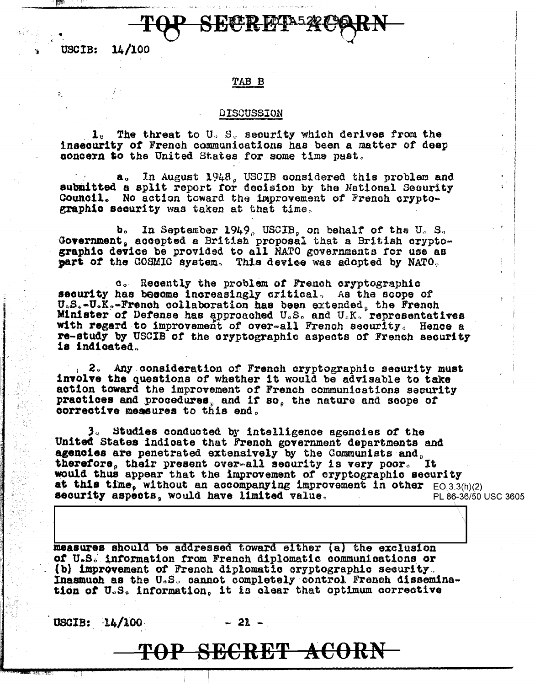14/100 **USCIB:** 

### TAB B

<del>TUV SECR</del>

### DISCUSSION

1. The threat to U.S. security which derives from the insecurity of French communications has been a matter of deep concern to the United States for some time past.

a. In August 1948, USCIB considered this problem and submitted a split report for decision by the National Security Council. No action toward the improvement of French cryptographic security was taken at that time.

In September 1949, USCIB, on behalf of the U.S.  $\mathbf{b}_\alpha$ Government, accepted a British proposal that a British cryptographic device be provided to all NATO governments for use as part of the COSMIC system. This device was adopted by NATO.

c. Recently the problem of French cryptographic security has become increasingly critical. As the scope of U.S.-U.K.-French collaboration has been extended, the French Minister of Defense has approached U.S. and U.K. representatives with regard to improvement of over-all French security. Hence a re-study by USCIB of the cryptographic aspects of French security is indicated.

2. Any consideration of French cryptographic security must involve the questions of whether it would be advisable to take action toward the improvement of French communications security practices and procedures, and if so, the nature and scope of corrective measures to this end.

3. Studies conducted by intelligence agencies of the United States indicate that French government departments and agencies are penetrated extensively by the Communists and, therefore, their present over-all security is very poor. **It** would thus appear that the improvement of cryptographic security at this time, without an accompanying improvement in other  $E(0.3.3(h)/2)$ security aspects, would have limited value. PL 86-36/50 USC 3605

measures should be addressed toward either (a) the exclusion of U.S. information from French diplomatic communications or (b) improvement of French diplomatic cryptographic security. Inasmuch as the U.S. cannot completely control French dissemination of U.S. information, it is clear that optimum corrective

USCIB:  $14/100$ 

 $-21-$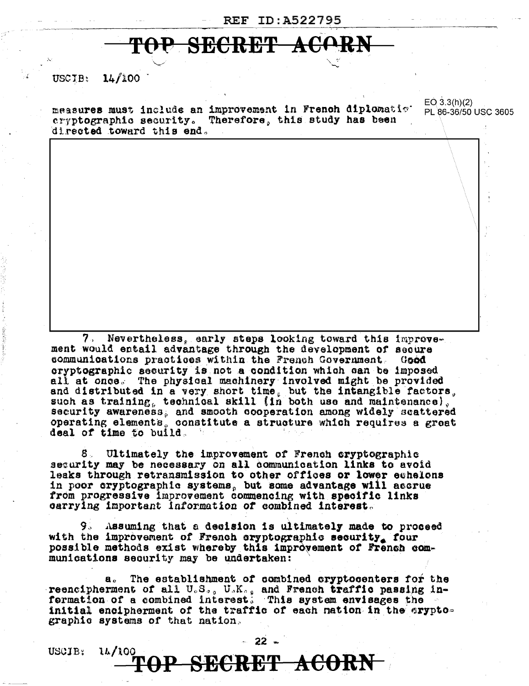# TOP SECRET ACORN

#### $14/100$ USCTB:

 $EQ$  3.3(h)(2) measures must include an improvement in French diplomatic. PL 86-36/50 USC 3605 cryptographic security. Therefore, this study has been directed toward this end.

Nevertheless, early steps looking toward this improvement would entail advantage through the development of secure communications practices within the French Government. Good cryptographic security is not a condition which can be imposed all at once. The physical machinery involved might be provided and distributed in a very short time, but the intangible factors, such as training, technical skill (in both use and maintenance), security awareness, and smooth cooperation among widely scattered operating elements, constitute a structure which requires a great deal of time to build.

8. Ultimately the improvement of French cryptographic security may be necessary on all communication links to avoid leaks through retransmission to other offices or lower echelons in poor cryptographic systems, but some advantage will accrue from progressive improvement commencing with specific links carrying important information of combined interest.

9. Assuming that a decision is ultimately made to proceed with the improvement of French cryptographic security. four possible methods exist whereby this improvement of French communications security may be undertaken:

The establishment of combined cryptocenters for the  $\mathbf{a}_p$ reencipherment of all U.S., U.K., and French traffic passing in-<br>formation of a combined interest. This system envisages the initial encipherment of the traffic of each nation in the cryptographic systems of that nation.

USCIB: 14/100  $-22$   $-$